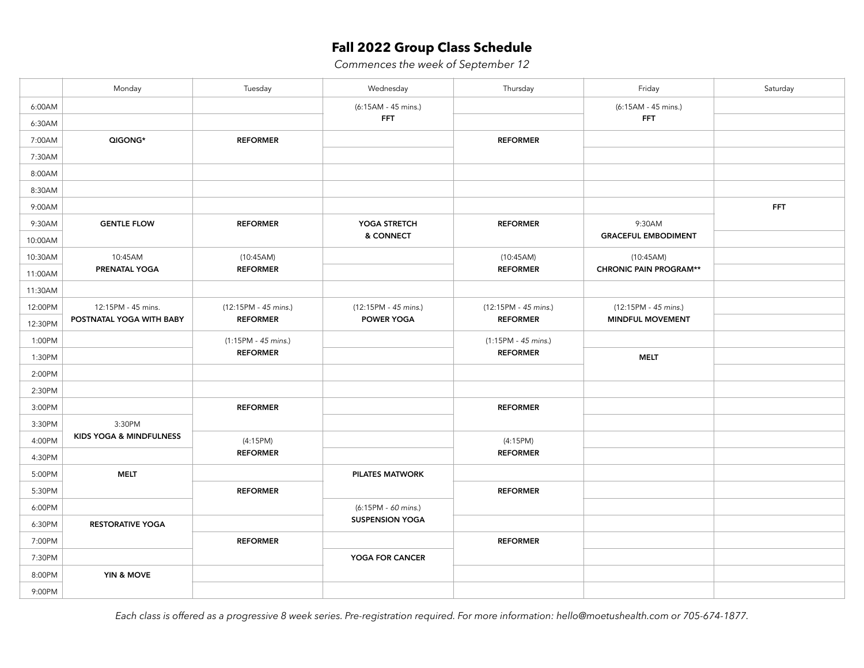## **Fall 2022 Group Class Schedule**

*Commences the week of September 12*

|         | Monday                                         | Tuesday                                 | Wednesday                          | Thursday                                | Friday                                          | Saturday   |
|---------|------------------------------------------------|-----------------------------------------|------------------------------------|-----------------------------------------|-------------------------------------------------|------------|
| 6:00AM  |                                                |                                         | (6:15AM - 45 mins.)                |                                         | (6:15AM - 45 mins.)                             |            |
| 6:30AM  |                                                |                                         | <b>FFT</b>                         |                                         | <b>FFT</b>                                      |            |
| 7:00AM  | QIGONG*                                        | <b>REFORMER</b>                         |                                    | <b>REFORMER</b>                         |                                                 |            |
| 7:30AM  |                                                |                                         |                                    |                                         |                                                 |            |
| 8:00AM  |                                                |                                         |                                    |                                         |                                                 |            |
| 8:30AM  |                                                |                                         |                                    |                                         |                                                 |            |
| 9:00AM  |                                                |                                         |                                    |                                         |                                                 | <b>FFT</b> |
| 9:30AM  | <b>GENTLE FLOW</b>                             | <b>REFORMER</b>                         | YOGA STRETCH<br>& CONNECT          | <b>REFORMER</b>                         | 9:30AM<br><b>GRACEFUL EMBODIMENT</b>            |            |
| 10:00AM |                                                |                                         |                                    |                                         |                                                 |            |
| 10:30AM | 10:45AM<br>PRENATAL YOGA                       | (10:45AM)<br><b>REFORMER</b>            |                                    | (10:45AM)<br><b>REFORMER</b>            | (10:45AM)<br><b>CHRONIC PAIN PROGRAM**</b>      |            |
| 11:00AM |                                                |                                         |                                    |                                         |                                                 |            |
| 11:30AM |                                                |                                         |                                    |                                         |                                                 |            |
| 12:00PM | 12:15PM - 45 mins.<br>POSTNATAL YOGA WITH BABY | (12:15PM - 45 mins.)<br><b>REFORMER</b> | (12:15PM - 45 mins.)<br>POWER YOGA | (12:15PM - 45 mins.)<br><b>REFORMER</b> | (12:15PM - 45 mins.)<br><b>MINDFUL MOVEMENT</b> |            |
| 12:30PM |                                                |                                         |                                    |                                         |                                                 |            |
| 1:00PM  |                                                | (1:15PM - 45 mins.)                     |                                    | (1:15PM - 45 mins.)                     |                                                 |            |
| 1:30PM  |                                                | <b>REFORMER</b>                         |                                    | <b>REFORMER</b>                         | <b>MELT</b>                                     |            |
| 2:00PM  |                                                |                                         |                                    |                                         |                                                 |            |
| 2:30PM  |                                                |                                         |                                    |                                         |                                                 |            |
| 3:00PM  |                                                | <b>REFORMER</b>                         |                                    | <b>REFORMER</b>                         |                                                 |            |
| 3:30PM  | 3:30PM                                         |                                         |                                    |                                         |                                                 |            |
| 4:00PM  | KIDS YOGA & MINDFULNESS                        | (4:15PM)                                |                                    | (4:15PM)                                |                                                 |            |
| 4:30PM  |                                                | <b>REFORMER</b>                         |                                    | <b>REFORMER</b>                         |                                                 |            |
| 5:00PM  | <b>MELT</b>                                    |                                         | <b>PILATES MATWORK</b>             |                                         |                                                 |            |
| 5:30PM  |                                                | <b>REFORMER</b>                         |                                    | <b>REFORMER</b>                         |                                                 |            |
| 6:00PM  |                                                |                                         | (6:15PM - 60 mins.)                |                                         |                                                 |            |
| 6:30PM  | <b>RESTORATIVE YOGA</b>                        |                                         | <b>SUSPENSION YOGA</b>             |                                         |                                                 |            |
| 7:00PM  |                                                | <b>REFORMER</b>                         |                                    | <b>REFORMER</b>                         |                                                 |            |
| 7:30PM  |                                                |                                         | YOGA FOR CANCER                    |                                         |                                                 |            |
| 8:00PM  | YIN & MOVE                                     |                                         |                                    |                                         |                                                 |            |
| 9:00PM  |                                                |                                         |                                    |                                         |                                                 |            |

*Each class is offered as a progressive 8 week series. Pre-registration required. For more information: hello@moetushealth.com or 705-674-1877.*